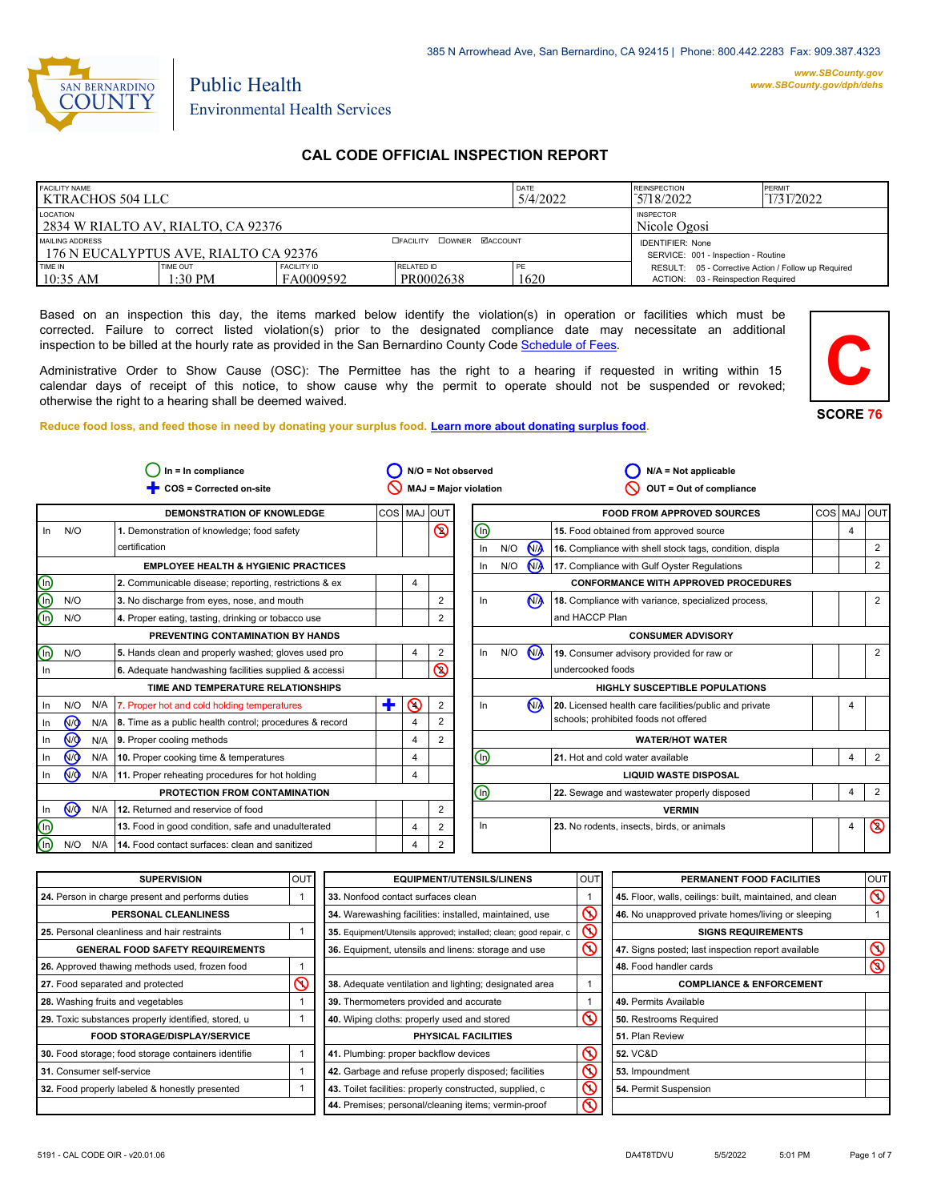

#### *www.SBCounty.gov [www.SBCounty.gov/dph/dehs](http://www.sbcounty.gov/dph/ehsportal)*

**SCORE 76**

**C**

# Public Health Environmental Health Services

## **CAL CODE OFFICIAL INSPECTION REPORT**

| <b>FACILITY NAME</b><br>  KTRACHOS 504 LLC               |                       |                                 |                                            | DATE<br>5/4/2022 | <b>REINSPECTION</b><br>5/18/2022                                                          | PERMIT<br>1/31/2022 |
|----------------------------------------------------------|-----------------------|---------------------------------|--------------------------------------------|------------------|-------------------------------------------------------------------------------------------|---------------------|
| LOCATION<br>2834 W RIALTO AV, RIALTO, CA 92376           |                       |                                 | <b>INSPECTOR</b><br>Nicole Ogosi           |                  |                                                                                           |                     |
| MAILING ADDRESS<br>176 N EUCALYPTUS AVE, RIALTO CA 92376 |                       |                                 | <b>COWNER MACCOUNT</b><br><b>EFACILITY</b> |                  | <b>IDENTIFIER: None</b><br>SERVICE: 001 - Inspection - Routine                            |                     |
| TIME IN<br>$10:35$ AM                                    | TIME OUT<br>$1:30$ PM | <b>FACILITY ID</b><br>FA0009592 | RELATED ID<br>PR0002638                    | PE<br>1620       | RESULT: 05 - Corrective Action / Follow up Required<br>ACTION: 03 - Reinspection Required |                     |

Based on an inspection this day, the items marked below identify the violation(s) in operation or facilities which must be corrected. Failure to correct listed violation(s) prior to the designated compliance date may necessitate an additional inspection to be billed at the hourly rate as provided in the San Bernardino County Co[de Schedule of Fees.](https://codelibrary.amlegal.com/codes/sanbernardino/latest/sanberncty_ca/0-0-0-122474#JD_16.0213B)

Administrative Order to Show Cause (OSC): The Permittee has the right to a hearing if requested in writing within 15 calendar days of receipt of this notice, to show cause why the permit to operate should not be suspended or revoked; otherwise the right to a hearing shall be deemed waived.



|                         |                | In = In compliance<br>$N/O = Not observed$<br>COS = Corrected on-site<br><b>MAJ = Major violation</b> |                                                         |   |           |                |     | $N/A = Not applicable$<br>OUT = Out of compliance |     |                |                                                         |  |   |                |
|-------------------------|----------------|-------------------------------------------------------------------------------------------------------|---------------------------------------------------------|---|-----------|----------------|-----|---------------------------------------------------|-----|----------------|---------------------------------------------------------|--|---|----------------|
|                         |                |                                                                                                       | <b>DEMONSTRATION OF KNOWLEDGE</b>                       |   | COS   MAJ | IOUT           |     |                                                   |     |                | <b>FOOD FROM APPROVED SOURCES</b>                       |  |   | COS MAJ OUT    |
| In                      | N/O            |                                                                                                       | 1. Demonstration of knowledge; food safety              |   |           | $\circledcirc$ | ⊕   |                                                   |     |                | 15. Food obtained from approved source                  |  | 4 |                |
|                         |                |                                                                                                       | certification                                           |   |           |                | In  |                                                   | N/O | <b>M</b>       | 16. Compliance with shell stock tags, condition, displa |  |   | 2              |
|                         |                |                                                                                                       | <b>EMPLOYEE HEALTH &amp; HYGIENIC PRACTICES</b>         |   |           |                | In  |                                                   | N/O | N <sub>A</sub> | 17. Compliance with Gulf Oyster Regulations             |  |   | $\overline{2}$ |
| ⋒                       |                |                                                                                                       | 2. Communicable disease; reporting, restrictions & ex   |   | 4         |                |     |                                                   |     |                | <b>CONFORMANCE WITH APPROVED PROCEDURES</b>             |  |   |                |
| $\overline{\mathbb{G}}$ | N/O            |                                                                                                       | 3. No discharge from eyes, nose, and mouth              |   |           | 2              | In  |                                                   |     | N <sub>A</sub> | 18. Compliance with variance, specialized process,      |  |   | 2              |
| ſn.                     | N/O            |                                                                                                       | 4. Proper eating, tasting, drinking or tobacco use      |   |           | 2              |     |                                                   |     |                | and HACCP Plan                                          |  |   |                |
|                         |                |                                                                                                       | PREVENTING CONTAMINATION BY HANDS                       |   |           |                |     | <b>CONSUMER ADVISORY</b>                          |     |                |                                                         |  |   |                |
| (In)                    | N/O            |                                                                                                       | 5. Hands clean and properly washed; gloves used pro     |   | 4         | $\overline{2}$ |     | ln                                                | N/O | M              | 19. Consumer advisory provided for raw or               |  |   | $\overline{2}$ |
| In                      |                |                                                                                                       | 6. Adequate handwashing facilities supplied & accessi   |   |           | $\circledcirc$ |     |                                                   |     |                | undercooked foods                                       |  |   |                |
|                         |                |                                                                                                       | TIME AND TEMPERATURE RELATIONSHIPS                      |   |           |                |     | <b>HIGHLY SUSCEPTIBLE POPULATIONS</b>             |     |                |                                                         |  |   |                |
| In                      | N/O            | N/A                                                                                                   | 7. Proper hot and cold holding temperatures             | ╋ | ⋒         | $\overline{2}$ | In. |                                                   |     | N <sub>A</sub> | 20. Licensed health care facilities/public and private  |  | 4 |                |
| In                      | N <sub>Q</sub> | N/A                                                                                                   | 8. Time as a public health control; procedures & record |   | 4         | $\overline{2}$ |     |                                                   |     |                | schools; prohibited foods not offered                   |  |   |                |
| In                      | N <sub>O</sub> | N/A                                                                                                   | 9. Proper cooling methods                               |   | 4         | $\overline{2}$ |     |                                                   |     |                | <b>WATER/HOT WATER</b>                                  |  |   |                |
| In                      | N <sub>O</sub> | N/A                                                                                                   | 10. Proper cooking time & temperatures                  |   | 4         |                | ⊕   |                                                   |     |                | 21. Hot and cold water available                        |  | 4 | $\overline{2}$ |
| In                      | N <sub>O</sub> | N/A                                                                                                   | 11. Proper reheating procedures for hot holding         |   | 4         |                |     |                                                   |     |                | <b>LIQUID WASTE DISPOSAL</b>                            |  |   |                |
|                         |                |                                                                                                       | PROTECTION FROM CONTAMINATION                           |   |           |                | ⋒   |                                                   |     |                | 22. Sewage and wastewater properly disposed             |  | 4 | 2              |
| In                      | N <sub>O</sub> | N/A                                                                                                   | 12. Returned and reservice of food                      |   |           | $\overline{2}$ |     |                                                   |     |                | <b>VERMIN</b>                                           |  |   |                |
| <u>(၈)</u>              |                |                                                                                                       | 13. Food in good condition, safe and unadulterated      |   | 4         | 2              | In  |                                                   |     |                | 23. No rodents, insects, birds, or animals              |  | 4 | $\circledcirc$ |
| ⋒                       | N/O            | N/A                                                                                                   | 14. Food contact surfaces: clean and sanitized          |   | 4         | $\overline{2}$ |     |                                                   |     |                |                                                         |  |   |                |

| <b>SUPERVISION</b>                                  | OUT | <b>EQUIPMENT/UTENSILS/LINENS</b>                                  | OUT                     | PERMANENT FOOD FACILITIES                                | <b>OUT</b>     |
|-----------------------------------------------------|-----|-------------------------------------------------------------------|-------------------------|----------------------------------------------------------|----------------|
| 24. Person in charge present and performs duties    |     | 33. Nonfood contact surfaces clean                                |                         | 45. Floor, walls, ceilings: built, maintained, and clean | $\circledcirc$ |
| <b>PERSONAL CLEANLINESS</b>                         |     | 34. Warewashing facilities: installed, maintained, use            | $\overline{\mathsf{O}}$ | 46. No unapproved private homes/living or sleeping       |                |
| 25. Personal cleanliness and hair restraints        |     | 35. Equipment/Utensils approved; installed; clean; good repair, c | $\mathsf{\Omega}$       | <b>SIGNS REQUIREMENTS</b>                                |                |
| <b>GENERAL FOOD SAFETY REQUIREMENTS</b>             |     | 36. Equipment, utensils and linens: storage and use               | $\infty$                | 47. Signs posted; last inspection report available       | $\infty$       |
| 26. Approved thawing methods used, frozen food      |     |                                                                   |                         | 48. Food handler cards                                   | $\circledcirc$ |
| 27. Food separated and protected                    | ↷   | 38. Adequate ventilation and lighting; designated area            |                         | <b>COMPLIANCE &amp; ENFORCEMENT</b>                      |                |
| 28. Washing fruits and vegetables                   |     | 39. Thermometers provided and accurate                            |                         | 49. Permits Available                                    |                |
| 29. Toxic substances properly identified, stored, u |     | 40. Wiping cloths: properly used and stored                       | $\infty$                | 50. Restrooms Required                                   |                |
| <b>FOOD STORAGE/DISPLAY/SERVICE</b>                 |     | PHYSICAL FACILITIES                                               |                         | 51. Plan Review                                          |                |
| 30. Food storage; food storage containers identifie |     | 41. Plumbing: proper backflow devices                             | $\infty$                | 52. VC&D                                                 |                |
| 31. Consumer self-service                           |     | 42. Garbage and refuse properly disposed; facilities              | $\overline{\mathsf{O}}$ | 53. Impoundment                                          |                |
| 32. Food properly labeled & honestly presented      |     | 43. Toilet facilities: properly constructed, supplied, c          | $\infty$                | 54. Permit Suspension                                    |                |
|                                                     |     | 44. Premises; personal/cleaning items; vermin-proof               | $\infty$                |                                                          |                |

 $\overline{\mathbb{Q}}$  $\circledcirc$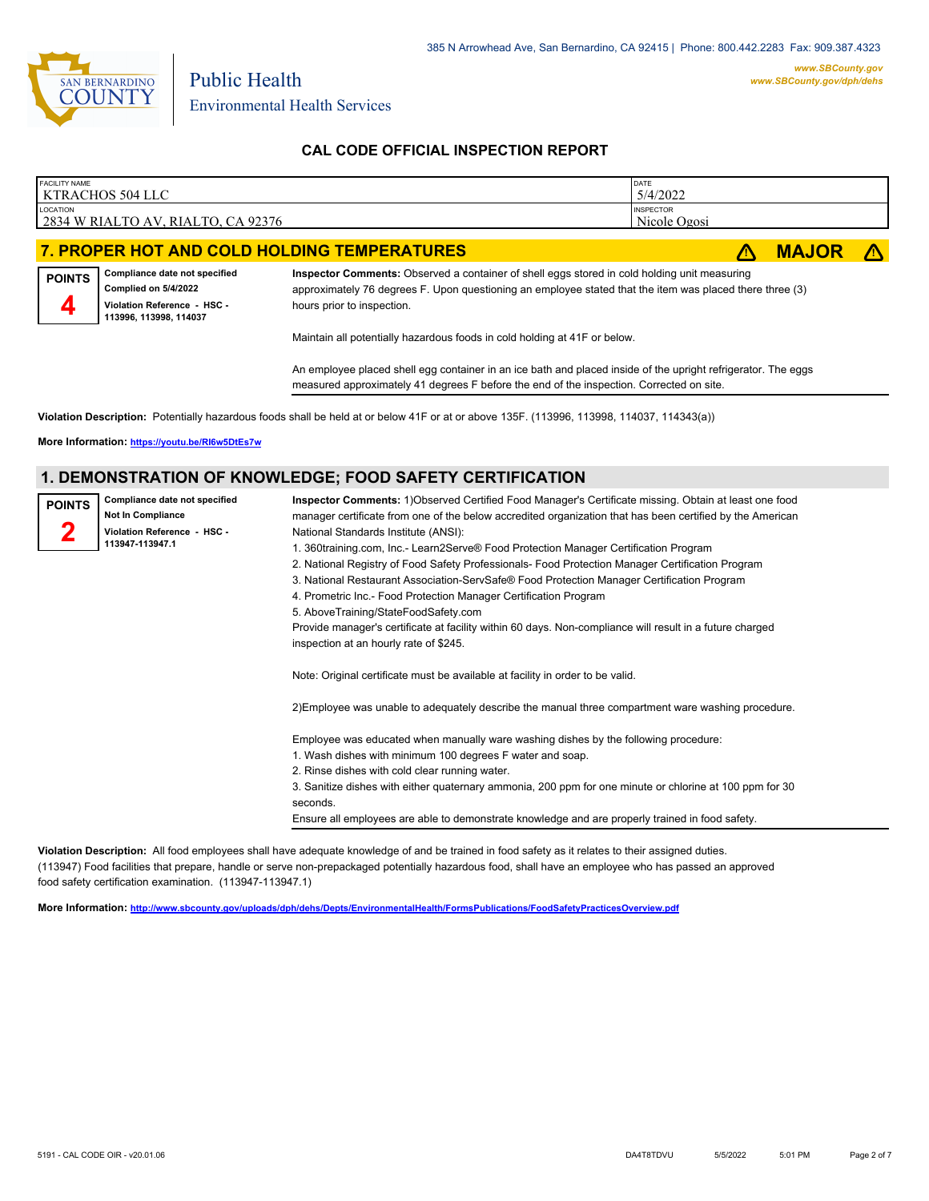

### **CAL CODE OFFICIAL INSPECTION REPORT**

| <b>FACILITY NAME</b> | KTRACHOS 504 LLC                                                                                               |                                                                                                                                                                                                                                        | DATE<br>5/4/2022                 |              |  |
|----------------------|----------------------------------------------------------------------------------------------------------------|----------------------------------------------------------------------------------------------------------------------------------------------------------------------------------------------------------------------------------------|----------------------------------|--------------|--|
| <b>LOCATION</b>      | 2834 W RIALTO AV, RIALTO, CA 92376                                                                             |                                                                                                                                                                                                                                        | <b>INSPECTOR</b><br>Nicole Ogosi |              |  |
|                      | 7. PROPER HOT AND COLD HOLDING TEMPERATURES                                                                    |                                                                                                                                                                                                                                        |                                  | <b>MAJOR</b> |  |
| <b>POINTS</b><br>4   | Compliance date not specified<br>Complied on 5/4/2022<br>Violation Reference - HSC -<br>113996, 113998, 114037 | Inspector Comments: Observed a container of shell eggs stored in cold holding unit measuring<br>approximately 76 degrees F. Upon questioning an employee stated that the item was placed there three (3)<br>hours prior to inspection. |                                  |              |  |

Maintain all potentially hazardous foods in cold holding at 41F or below.

An employee placed shell egg container in an ice bath and placed inside of the upright refrigerator. The eggs measured approximately 41 degrees F before the end of the inspection. Corrected on site.

**Violation Description:** Potentially hazardous foods shall be held at or below 41F or at or above 135F. (113996, 113998, 114037, 114343(a))

**More Information: <https://youtu.be/RI6w5DtEs7w>**

#### **1. DEMONSTRATION OF KNOWLEDGE; FOOD SAFETY CERTIFICATION**

| <b>POINTS</b> | Compliance date not specified<br>Not In Compliance<br>Violation Reference - HSC -<br>113947-113947.1 | Inspector Comments: 1) Observed Certified Food Manager's Certificate missing. Obtain at least one food<br>manager certificate from one of the below accredited organization that has been certified by the American<br>National Standards Institute (ANSI):<br>1. 360training.com, Inc.- Learn2Serve® Food Protection Manager Certification Program<br>2. National Registry of Food Safety Professionals- Food Protection Manager Certification Program<br>3. National Restaurant Association-ServSafe® Food Protection Manager Certification Program<br>4. Prometric Inc.- Food Protection Manager Certification Program<br>5. AboveTraining/StateFoodSafety.com<br>Provide manager's certificate at facility within 60 days. Non-compliance will result in a future charged<br>inspection at an hourly rate of \$245. |
|---------------|------------------------------------------------------------------------------------------------------|-------------------------------------------------------------------------------------------------------------------------------------------------------------------------------------------------------------------------------------------------------------------------------------------------------------------------------------------------------------------------------------------------------------------------------------------------------------------------------------------------------------------------------------------------------------------------------------------------------------------------------------------------------------------------------------------------------------------------------------------------------------------------------------------------------------------------|
|               |                                                                                                      | Note: Original certificate must be available at facility in order to be valid.                                                                                                                                                                                                                                                                                                                                                                                                                                                                                                                                                                                                                                                                                                                                          |
|               |                                                                                                      | 2) Employee was unable to adequately describe the manual three compartment ware washing procedure.                                                                                                                                                                                                                                                                                                                                                                                                                                                                                                                                                                                                                                                                                                                      |
|               |                                                                                                      | Employee was educated when manually ware washing dishes by the following procedure:<br>1. Wash dishes with minimum 100 degrees F water and soap.<br>2. Rinse dishes with cold clear running water.<br>3. Sanitize dishes with either quaternary ammonia, 200 ppm for one minute or chlorine at 100 ppm for 30<br>seconds.<br>Ensure all employees are able to demonstrate knowledge and are properly trained in food safety.                                                                                                                                                                                                                                                                                                                                                                                            |

**Violation Description:** All food employees shall have adequate knowledge of and be trained in food safety as it relates to their assigned duties. (113947) Food facilities that prepare, handle or serve non-prepackaged potentially hazardous food, shall have an employee who has passed an approved food safety certification examination. (113947-113947.1)

**More Information: <http://www.sbcounty.gov/uploads/dph/dehs/Depts/EnvironmentalHealth/FormsPublications/FoodSafetyPracticesOverview.pdf>**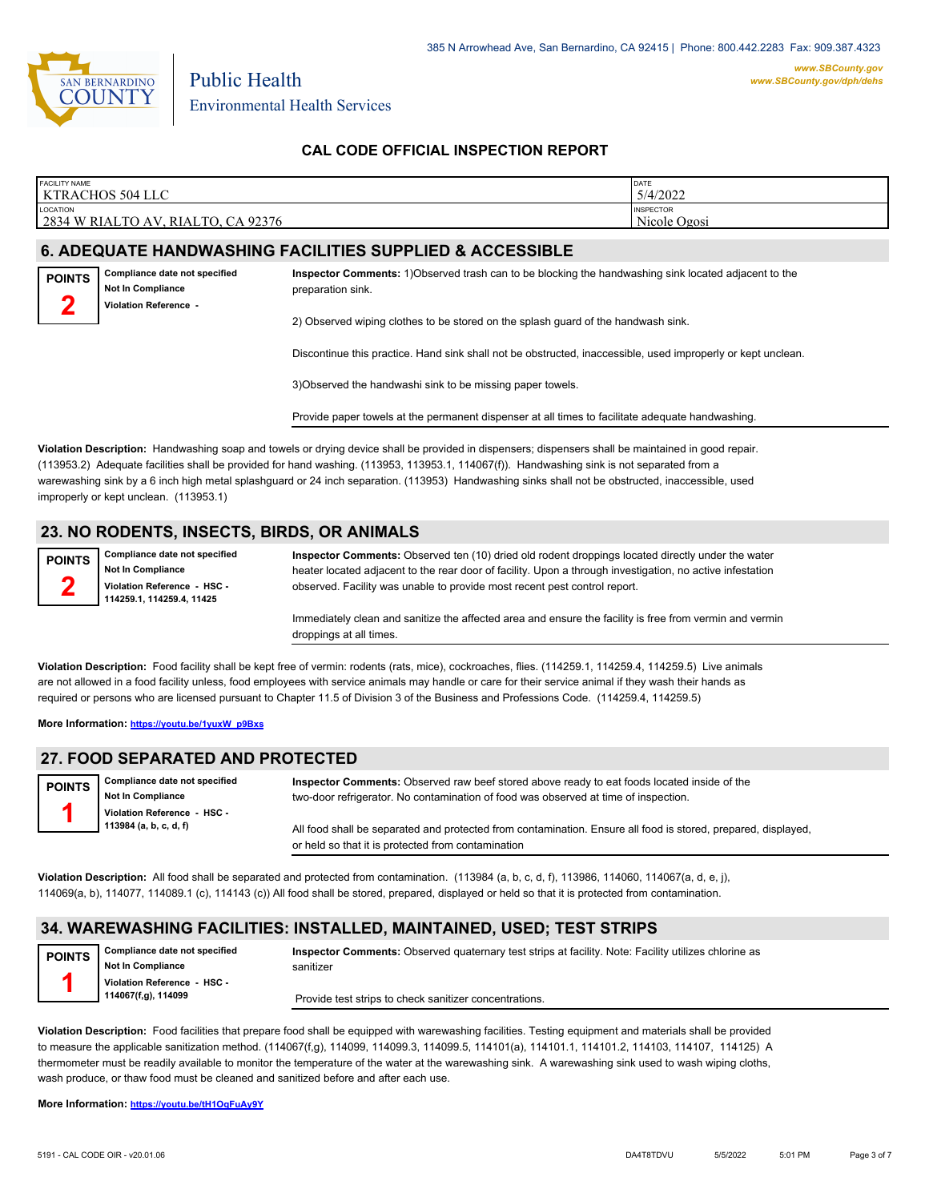

*[www.SBCounty.gov/dph/dehs](http://www.sbcounty.gov/dph/ehsportal)*

Public Health Environmental Health Services

### **CAL CODE OFFICIAL INSPECTION REPORT**

| <b>FACILITY NAME</b>                                                 | DATE                             |
|----------------------------------------------------------------------|----------------------------------|
| KTRACHOS 504 LLC                                                     | 5/4/2022                         |
| <b>LOCATION</b><br>2834<br>W RIALTO<br>RIALTO,<br>92376<br>CA<br>AV) | <b>INSPECTOR</b><br>Nicole Ogosi |

### **6. ADEQUATE HANDWASHING FACILITIES SUPPLIED & ACCESSIBLE**

**Compliance date not specified Not In Compliance Violation Reference - POINTS 2**

**2**

**Inspector Comments:** 1)Observed trash can to be blocking the handwashing sink located adjacent to the preparation sink.

2) Observed wiping clothes to be stored on the splash guard of the handwash sink.

Discontinue this practice. Hand sink shall not be obstructed, inaccessible, used improperly or kept unclean.

3)Observed the handwashi sink to be missing paper towels.

Provide paper towels at the permanent dispenser at all times to facilitate adequate handwashing.

**Violation Description:** Handwashing soap and towels or drying device shall be provided in dispensers; dispensers shall be maintained in good repair. (113953.2) Adequate facilities shall be provided for hand washing. (113953, 113953.1, 114067(f)). Handwashing sink is not separated from a warewashing sink by a 6 inch high metal splashguard or 24 inch separation. (113953) Handwashing sinks shall not be obstructed, inaccessible, used improperly or kept unclean. (113953.1)

#### **23. NO RODENTS, INSECTS, BIRDS, OR ANIMALS**

**Compliance date not specified Not In Compliance Violation Reference - HSC - 114259.1, 114259.4, 11425 POINTS**

**Inspector Comments:** Observed ten (10) dried old rodent droppings located directly under the water heater located adjacent to the rear door of facility. Upon a through investigation, no active infestation observed. Facility was unable to provide most recent pest control report.

Immediately clean and sanitize the affected area and ensure the facility is free from vermin and vermin droppings at all times.

**Violation Description:** Food facility shall be kept free of vermin: rodents (rats, mice), cockroaches, flies. (114259.1, 114259.4, 114259.5) Live animals are not allowed in a food facility unless, food employees with service animals may handle or care for their service animal if they wash their hands as required or persons who are licensed pursuant to Chapter 11.5 of Division 3 of the Business and Professions Code. (114259.4, 114259.5)

**More Information: [https://youtu.be/1yuxW\\_p9Bxs](https://youtu.be/1yuxW_p9Bxs)**

#### **27. FOOD SEPARATED AND PROTECTED**

**Compliance date not specified Not In Compliance Violation Reference - HSC - 113984 (a, b, c, d, f) POINTS 1 Inspector Comments:** Observed raw beef stored above ready to eat foods located inside of the two-door refrigerator. No contamination of food was observed at time of inspection. All food shall be separated and protected from contamination. Ensure all food is stored, prepared, displayed, or held so that it is protected from contamination

**Violation Description:** All food shall be separated and protected from contamination. (113984 (a, b, c, d, f), 113986, 114060, 114067(a, d, e, j), 114069(a, b), 114077, 114089.1 (c), 114143 (c)) All food shall be stored, prepared, displayed or held so that it is protected from contamination.

#### **34. WAREWASHING FACILITIES: INSTALLED, MAINTAINED, USED; TEST STRIPS**

**Compliance date not specified Not In Compliance Violation Reference - HSC - 114067(f,g), 114099 POINTS 1**

**Inspector Comments:** Observed quaternary test strips at facility. Note: Facility utilizes chlorine as sanitizer

Provide test strips to check sanitizer concentrations.

**Violation Description:** Food facilities that prepare food shall be equipped with warewashing facilities. Testing equipment and materials shall be provided to measure the applicable sanitization method. (114067(f,g), 114099, 114099.3, 114099.5, 114101(a), 114101.1, 114101.2, 114103, 114107, 114125) A thermometer must be readily available to monitor the temperature of the water at the warewashing sink. A warewashing sink used to wash wiping cloths, wash produce, or thaw food must be cleaned and sanitized before and after each use.

**More Information: <https://youtu.be/tH1OqFuAy9Y>**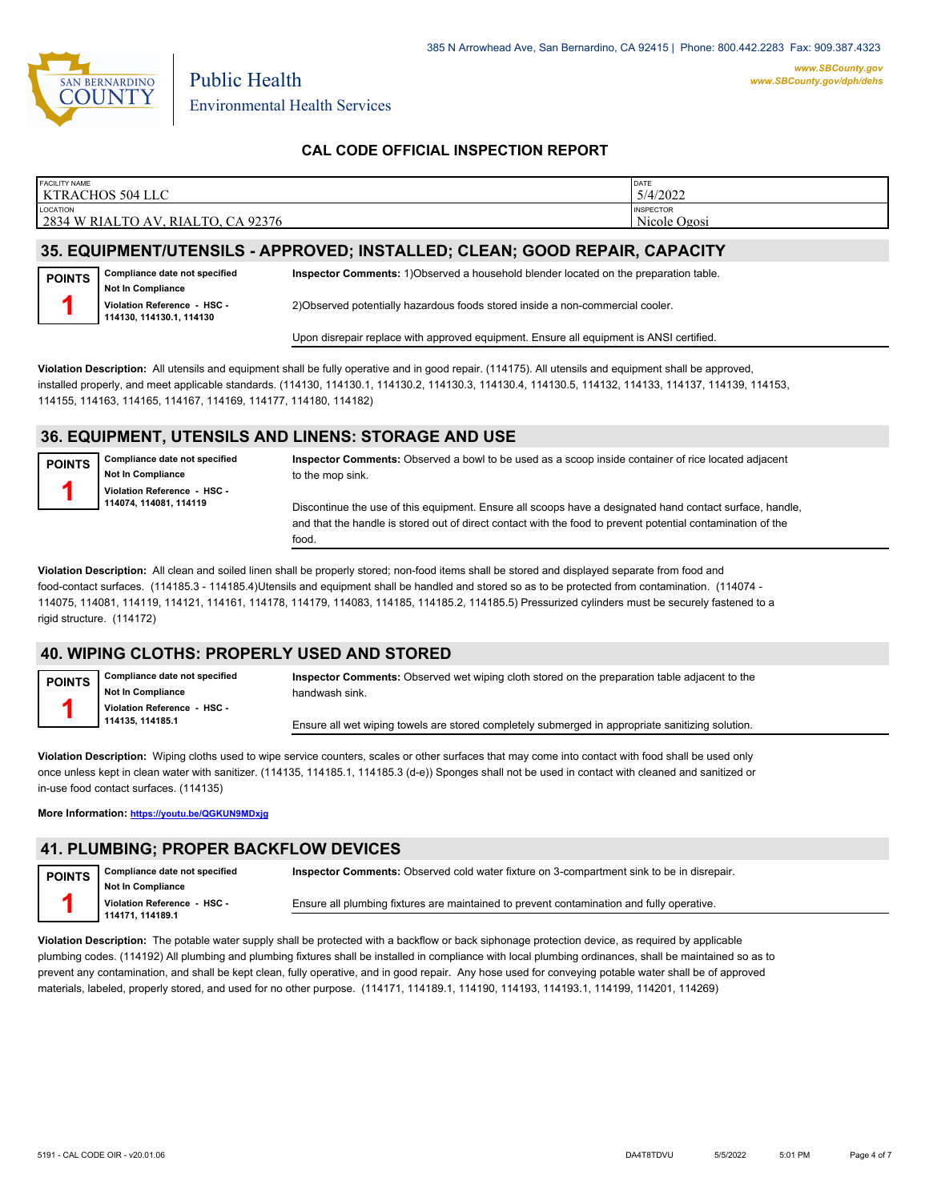

Environmental Health Services

Public Health

### **CAL CODE OFFICIAL INSPECTION REPORT**

| <b>FACILITY NAME</b><br>KTRACHOS 504 LLC          | <b>DATE</b><br>5/4/2022          |
|---------------------------------------------------|----------------------------------|
| LOCATION<br>2834 W RIALTO AV.<br>RIALTO, CA 92376 | <b>INSPECTOR</b><br>Nicole Ogosi |
|                                                   |                                  |

### **35. EQUIPMENT/UTENSILS - APPROVED; INSTALLED; CLEAN; GOOD REPAIR, CAPACITY**

**Compliance date not specified Not In Compliance Violation Reference - HSC - 114130, 114130.1, 114130 POINTS 1 Inspector Comments:** 1)Observed a household blender located on the preparation table. 2)Observed potentially hazardous foods stored inside a non-commercial cooler.

Upon disrepair replace with approved equipment. Ensure all equipment is ANSI certified.

**Violation Description:** All utensils and equipment shall be fully operative and in good repair. (114175). All utensils and equipment shall be approved, installed properly, and meet applicable standards. (114130, 114130.1, 114130.2, 114130.3, 114130.4, 114130.5, 114132, 114133, 114137, 114139, 114153, 114155, 114163, 114165, 114167, 114169, 114177, 114180, 114182)

### **36. EQUIPMENT, UTENSILS AND LINENS: STORAGE AND USE**

**POINTS 1**

**Compliance date not specified Not In Compliance Violation Reference - HSC - 114074, 114081, 114119**

**Inspector Comments:** Observed a bowl to be used as a scoop inside container of rice located adjacent to the mop sink.

Discontinue the use of this equipment. Ensure all scoops have a designated hand contact surface, handle, and that the handle is stored out of direct contact with the food to prevent potential contamination of the food.

**Violation Description:** All clean and soiled linen shall be properly stored; non-food items shall be stored and displayed separate from food and food-contact surfaces. (114185.3 - 114185.4)Utensils and equipment shall be handled and stored so as to be protected from contamination. (114074 - 114075, 114081, 114119, 114121, 114161, 114178, 114179, 114083, 114185, 114185.2, 114185.5) Pressurized cylinders must be securely fastened to a rigid structure. (114172)

### **40. WIPING CLOTHS: PROPERLY USED AND STORED**

**Compliance date not specified Not In Compliance Violation Reference - HSC - 114135, 114185.1 POINTS 1 Inspector Comments:** Observed wet wiping cloth stored on the preparation table adjacent to the handwash sink. Ensure all wet wiping towels are stored completely submerged in appropriate sanitizing solution.

**Violation Description:** Wiping cloths used to wipe service counters, scales or other surfaces that may come into contact with food shall be used only once unless kept in clean water with sanitizer. (114135, 114185.1, 114185.3 (d-e)) Sponges shall not be used in contact with cleaned and sanitized or in-use food contact surfaces. (114135)

**More Information: <https://youtu.be/QGKUN9MDxjg>**

#### **41. PLUMBING; PROPER BACKFLOW DEVICES**

**Compliance date not specified Not In Compliance Violation Reference - HSC - 114171, 114189.1 POINTS 1 Inspector Comments:** Observed cold water fixture on 3-compartment sink to be in disrepair. Ensure all plumbing fixtures are maintained to prevent contamination and fully operative.

**Violation Description:** The potable water supply shall be protected with a backflow or back siphonage protection device, as required by applicable plumbing codes. (114192) All plumbing and plumbing fixtures shall be installed in compliance with local plumbing ordinances, shall be maintained so as to prevent any contamination, and shall be kept clean, fully operative, and in good repair. Any hose used for conveying potable water shall be of approved materials, labeled, properly stored, and used for no other purpose. (114171, 114189.1, 114190, 114193, 114193.1, 114199, 114201, 114269)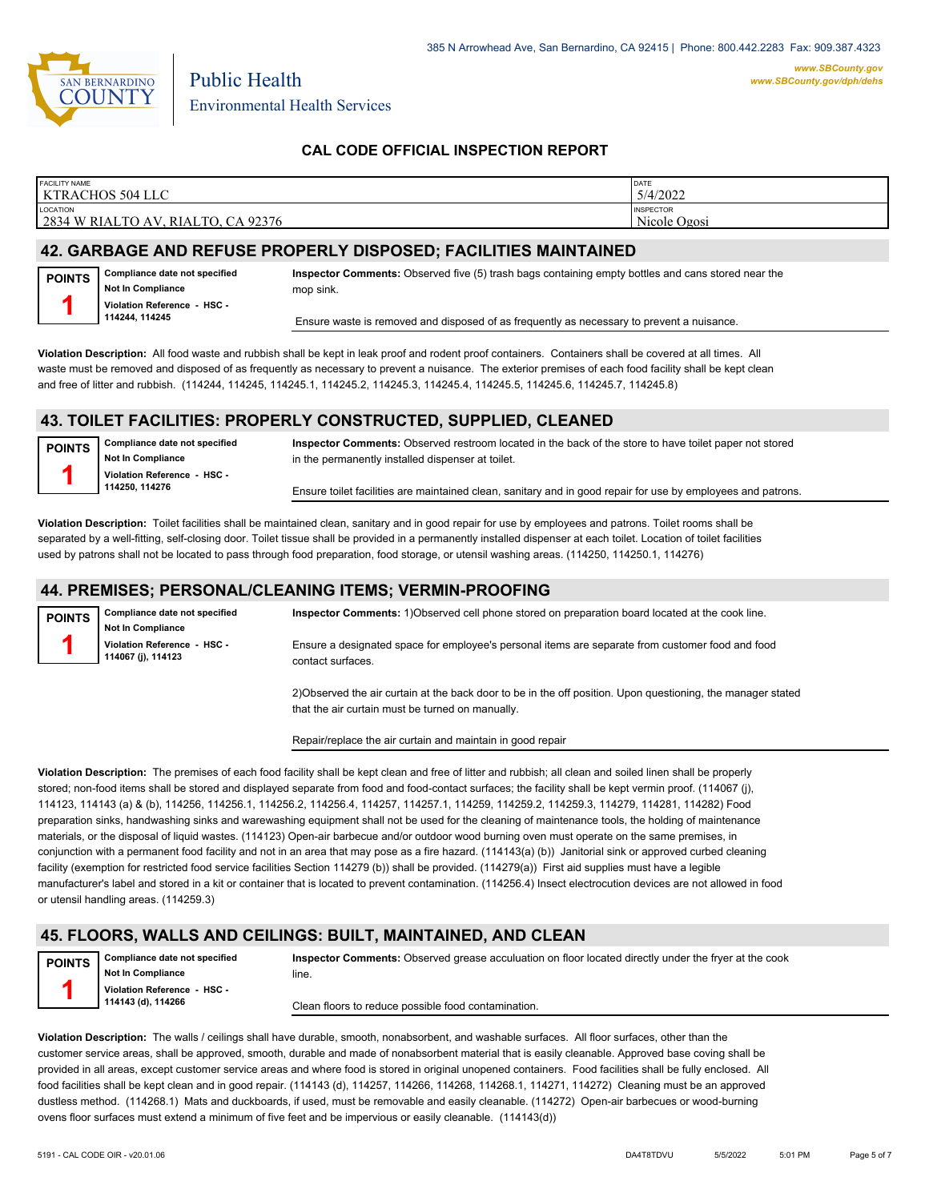

*www.SBCounty.gov [www.SBCounty.gov/dph/dehs](http://www.sbcounty.gov/dph/ehsportal)*

Public Health Environmental Health Services

### **CAL CODE OFFICIAL INSPECTION REPORT**

| <b>FACILITY NAME</b>                                       | DATE                                           |
|------------------------------------------------------------|------------------------------------------------|
| KTRACHOS 504 LLC                                           | 5/4/2022                                       |
| LOCATION<br>CA 92376<br>2834 W RIALTO AV.<br><b>RIALTO</b> | <b>INSPECTOR</b><br>Nicole $\sqrt{ }$<br>Ogosi |

## **42. GARBAGE AND REFUSE PROPERLY DISPOSED; FACILITIES MAINTAINED**

| POINTS | Compliance date not specified |
|--------|-------------------------------|
|        | Not In Compliance             |
|        | Violation Reference - HSC -   |
|        | 114244, 114245                |

**Inspector Comments:** Observed five (5) trash bags containing empty bottles and cans stored near the mop sink.

Ensure waste is removed and disposed of as frequently as necessary to prevent a nuisance.

**Violation Description:** All food waste and rubbish shall be kept in leak proof and rodent proof containers. Containers shall be covered at all times. All waste must be removed and disposed of as frequently as necessary to prevent a nuisance. The exterior premises of each food facility shall be kept clean and free of litter and rubbish. (114244, 114245, 114245.1, 114245.2, 114245.3, 114245.4, 114245.5, 114245.6, 114245.7, 114245.8)

#### **43. TOILET FACILITIES: PROPERLY CONSTRUCTED, SUPPLIED, CLEANED**

**Compliance date not specified Not In Compliance Violation Reference - HSC - 114250, 114276 POINTS 1**

**Inspector Comments:** Observed restroom located in the back of the store to have toilet paper not stored in the permanently installed dispenser at toilet.

Ensure toilet facilities are maintained clean, sanitary and in good repair for use by employees and patrons.

**Violation Description:** Toilet facilities shall be maintained clean, sanitary and in good repair for use by employees and patrons. Toilet rooms shall be separated by a well-fitting, self-closing door. Toilet tissue shall be provided in a permanently installed dispenser at each toilet. Location of toilet facilities used by patrons shall not be located to pass through food preparation, food storage, or utensil washing areas. (114250, 114250.1, 114276)

#### **44. PREMISES; PERSONAL/CLEANING ITEMS; VERMIN-PROOFING**

| <b>POINTS</b> | <b>Compliance date not specified</b><br><b>Not In Compliance</b> | Inspector Comments: 1) Observed cell phone stored on preparation board located at the cook line.                      |
|---------------|------------------------------------------------------------------|-----------------------------------------------------------------------------------------------------------------------|
|               | Violation Reference - HSC -<br>114067 (j), 114123                | Ensure a designated space for employee's personal items are separate from customer food and food<br>contact surfaces. |
|               |                                                                  | 3) Obecaused the oir curtain of the book deepto he in the off needing. Unan cureationing the monoger state            |

2)Observed the air curtain at the back door to be in the off position. Upon questioning, the manager stated that the air curtain must be turned on manually.

Repair/replace the air curtain and maintain in good repair

**Violation Description:** The premises of each food facility shall be kept clean and free of litter and rubbish; all clean and soiled linen shall be properly stored; non-food items shall be stored and displayed separate from food and food-contact surfaces; the facility shall be kept vermin proof. (114067 (j), 114123, 114143 (a) & (b), 114256, 114256.1, 114256.2, 114256.4, 114257, 114257.1, 114259, 114259.2, 114259.3, 114279, 114281, 114282) Food preparation sinks, handwashing sinks and warewashing equipment shall not be used for the cleaning of maintenance tools, the holding of maintenance materials, or the disposal of liquid wastes. (114123) Open-air barbecue and/or outdoor wood burning oven must operate on the same premises, in conjunction with a permanent food facility and not in an area that may pose as a fire hazard. (114143(a) (b)) Janitorial sink or approved curbed cleaning facility (exemption for restricted food service facilities Section 114279 (b)) shall be provided. (114279(a)) First aid supplies must have a legible manufacturer's label and stored in a kit or container that is located to prevent contamination. (114256.4) Insect electrocution devices are not allowed in food or utensil handling areas. (114259.3)

### **45. FLOORS, WALLS AND CEILINGS: BUILT, MAINTAINED, AND CLEAN**



**Not In Compliance Violation Reference - HSC - 114143 (d), 114266**

**Inspector Comments:** Observed grease acculuation on floor located directly under the fryer at the cook line.

Clean floors to reduce possible food contamination.

**Violation Description:** The walls / ceilings shall have durable, smooth, nonabsorbent, and washable surfaces. All floor surfaces, other than the customer service areas, shall be approved, smooth, durable and made of nonabsorbent material that is easily cleanable. Approved base coving shall be provided in all areas, except customer service areas and where food is stored in original unopened containers. Food facilities shall be fully enclosed. All food facilities shall be kept clean and in good repair. (114143 (d), 114257, 114266, 114268, 114268, 114271, 114272) Cleaning must be an approved dustless method. (114268.1) Mats and duckboards, if used, must be removable and easily cleanable. (114272) Open-air barbecues or wood-burning ovens floor surfaces must extend a minimum of five feet and be impervious or easily cleanable. (114143(d))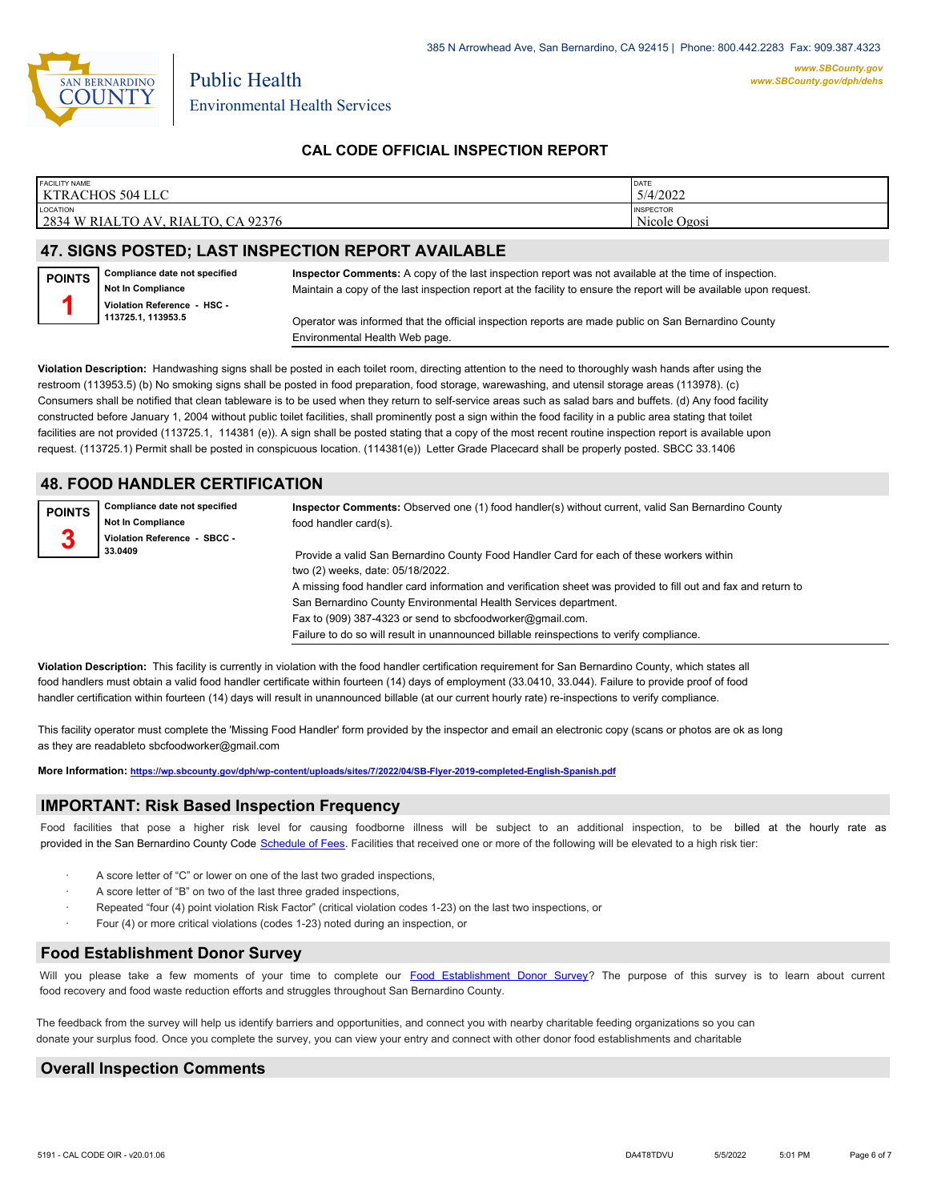

Environmental Health Services

Public Health

### **CAL CODE OFFICIAL INSPECTION REPORT**

| <b>FACILITY NAME</b>                                                          | DATE                             |
|-------------------------------------------------------------------------------|----------------------------------|
| KTRACHOS 504 LLC                                                              | 5/4/2022                         |
| LOCATION<br>2834<br>$\lambda$ 92376<br>W RIALTO<br>$T T \Omega$<br>RIAL<br>AV | <b>INSPECTOR</b><br>Nicole Ogosi |

### **47. SIGNS POSTED; LAST INSPECTION REPORT AVAILABLE**

**Compliance date not specified Not In Compliance POINTS**



**Inspector Comments:** A copy of the last inspection report was not available at the time of inspection. Maintain a copy of the last inspection report at the facility to ensure the report will be available upon request.

Operator was informed that the official inspection reports are made public on San Bernardino County Environmental Health Web page.

**Violation Description:** Handwashing signs shall be posted in each toilet room, directing attention to the need to thoroughly wash hands after using the restroom (113953.5) (b) No smoking signs shall be posted in food preparation, food storage, warewashing, and utensil storage areas (113978). (c) Consumers shall be notified that clean tableware is to be used when they return to self-service areas such as salad bars and buffets. (d) Any food facility constructed before January 1, 2004 without public toilet facilities, shall prominently post a sign within the food facility in a public area stating that toilet facilities are not provided (113725.1, 114381 (e)). A sign shall be posted stating that a copy of the most recent routine inspection report is available upon request. (113725.1) Permit shall be posted in conspicuous location. (114381(e)) Letter Grade Placecard shall be properly posted. SBCC 33.1406

### **48. FOOD HANDLER CERTIFICATION**

| <b>POINTS</b> | Compliance date not specified<br><b>Not In Compliance</b> | Inspector Comments: Observed one (1) food handler(s) without current, valid San Bernardino County<br>food handler card(s). |
|---------------|-----------------------------------------------------------|----------------------------------------------------------------------------------------------------------------------------|
| 3             | Violation Reference - SBCC -                              |                                                                                                                            |
|               | 33.0409                                                   | Provide a valid San Bernardino County Food Handler Card for each of these workers within                                   |
|               |                                                           | two (2) weeks, date: 05/18/2022.                                                                                           |
|               |                                                           | A missing food handler card information and verification sheet was provided to fill out and fax and return to              |
|               |                                                           | San Bernardino County Environmental Health Services department.                                                            |
|               |                                                           | Fax to (909) 387-4323 or send to sbcfoodworker@gmail.com.                                                                  |
|               |                                                           | Failure to do so will result in unannounced billable reinspections to verify compliance.                                   |

**Violation Description:** This facility is currently in violation with the food handler certification requirement for San Bernardino County, which states all food handlers must obtain a valid food handler certificate within fourteen (14) days of employment (33.0410, 33.044). Failure to provide proof of food handler certification within fourteen (14) days will result in unannounced billable (at our current hourly rate) re-inspections to verify compliance.

This facility operator must complete the 'Missing Food Handler' form provided by the inspector and email an electronic copy (scans or photos are ok as long as they are readableto sbcfoodworker@gmail.com

**More Information: <https://wp.sbcounty.gov/dph/wp-content/uploads/sites/7/2022/04/SB-Flyer-2019-completed-English-Spanish.pdf>**

#### **IMPORTANT: Risk Based Inspection Frequency**

Food facilities that pose a higher risk level for causing foodborne illness will be subject to an additional inspection, to be billed at the hourly rate as provided in the San Bernardi[no County Code Schedule of Fees](https://codelibrary.amlegal.com/codes/sanbernardino/latest/sanberncty_ca/0-0-0-122474#JD_16.0213B). Facilities that received one or more of the following will be elevated to a high risk tier:

- A score letter of "C" or lower on one of the last two graded inspections,
- A score letter of "B" on two of the last three graded inspections,
- Repeated "four (4) point violation Risk Factor" (critical violation codes 1-23) on the last two inspections, or
- Four (4) or more critical violations (codes 1-23) noted during an inspection, or

#### **Food Establishment Donor Survey**

Will you please take a few moments of your time to co[mplete our Food Establishment Donor Survey?](https://survey123.arcgis.com/share/626bb0fb21674c82832b0c0d557c5e80?field:faid=FA0009592&field:facility_name=KTRACHOS%20504%20LLC¢er=34.10,-117.35&field:phone=9097709319) The purpose of this survey is to learn about current food recovery and food waste reduction efforts and struggles throughout San Bernardino County.

The feedback from the survey will help us identify barriers and opportunities, and connect you with nearby charitable feeding organizations so you can donate your surplus fo[od. Once you complete the su](https://arcg.is/WvjGb)rvey, you can view your entry and connect with other donor food establishments and charitable

#### **Overall Inspection Comments**